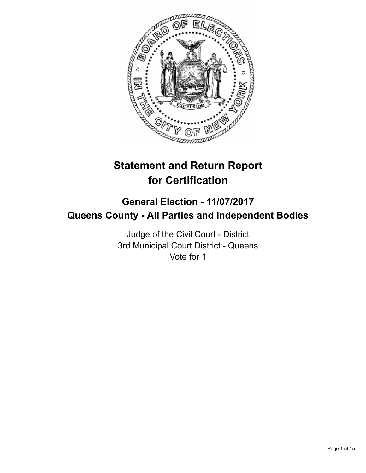

# **Statement and Return Report for Certification**

## **General Election - 11/07/2017 Queens County - All Parties and Independent Bodies**

Judge of the Civil Court - District 3rd Municipal Court District - Queens Vote for 1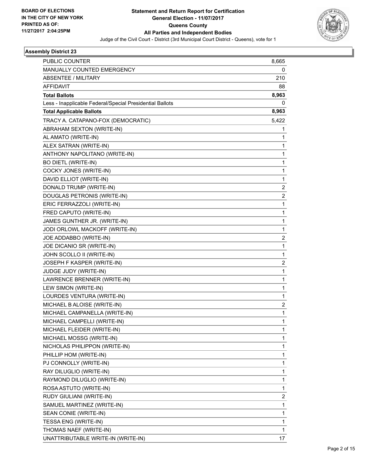

| <b>PUBLIC COUNTER</b>                                    | 8,665          |
|----------------------------------------------------------|----------------|
| MANUALLY COUNTED EMERGENCY                               | 0              |
| ABSENTEE / MILITARY                                      | 210            |
| <b>AFFIDAVIT</b>                                         | 88             |
| <b>Total Ballots</b>                                     | 8,963          |
| Less - Inapplicable Federal/Special Presidential Ballots | 0              |
| <b>Total Applicable Ballots</b>                          | 8,963          |
| TRACY A. CATAPANO-FOX (DEMOCRATIC)                       | 5,422          |
| ABRAHAM SEXTON (WRITE-IN)                                | 1              |
| AL AMATO (WRITE-IN)                                      | 1              |
| ALEX SATRAN (WRITE-IN)                                   | 1              |
| ANTHONY NAPOLITANO (WRITE-IN)                            | 1              |
| <b>BO DIETL (WRITE-IN)</b>                               | $\mathbf{1}$   |
| COCKY JONES (WRITE-IN)                                   | 1              |
| DAVID ELLIOT (WRITE-IN)                                  | 1              |
| DONALD TRUMP (WRITE-IN)                                  | 2              |
| DOUGLAS PETRONIS (WRITE-IN)                              | $\overline{2}$ |
| ERIC FERRAZZOLI (WRITE-IN)                               | 1              |
| FRED CAPUTO (WRITE-IN)                                   | $\mathbf{1}$   |
| JAMES GUNTHER JR. (WRITE-IN)                             | 1              |
| JODI ORLOWL MACKOFF (WRITE-IN)                           | 1              |
| JOE ADDABBO (WRITE-IN)                                   | 2              |
| JOE DICANIO SR (WRITE-IN)                                | 1              |
| JOHN SCOLLO II (WRITE-IN)                                | 1              |
| JOSEPH F KASPER (WRITE-IN)                               | 2              |
| JUDGE JUDY (WRITE-IN)                                    | 1              |
| LAWRENCE BRENNER (WRITE-IN)                              | 1              |
| LEW SIMON (WRITE-IN)                                     | 1              |
| LOURDES VENTURA (WRITE-IN)                               | 1              |
| MICHAEL B ALOISE (WRITE-IN)                              | 2              |
| MICHAEL CAMPANELLA (WRITE-IN)                            | $\mathbf{1}$   |
| MICHAEL CAMPELLI (WRITE-IN)                              | 1              |
| MICHAEL FLEIDER (WRITE-IN)                               | 1              |
| MICHAEL MOSSG (WRITE-IN)                                 | 1              |
| NICHOLAS PHILIPPON (WRITE-IN)                            | 1              |
| PHILLIP HOM (WRITE-IN)                                   | 1              |
| PJ CONNOLLY (WRITE-IN)                                   | 1              |
| RAY DILUGLIO (WRITE-IN)                                  | 1              |
| RAYMOND DILUGLIO (WRITE-IN)                              | 1              |
| ROSA ASTUTO (WRITE-IN)                                   | $\mathbf{1}$   |
| RUDY GIULIANI (WRITE-IN)                                 | 2              |
| SAMUEL MARTINEZ (WRITE-IN)                               | $\mathbf{1}$   |
| SEAN CONIE (WRITE-IN)                                    | 1              |
| TESSA ENG (WRITE-IN)                                     | 1              |
| THOMAS NAEF (WRITE-IN)                                   | 1              |
| UNATTRIBUTABLE WRITE-IN (WRITE-IN)                       | 17             |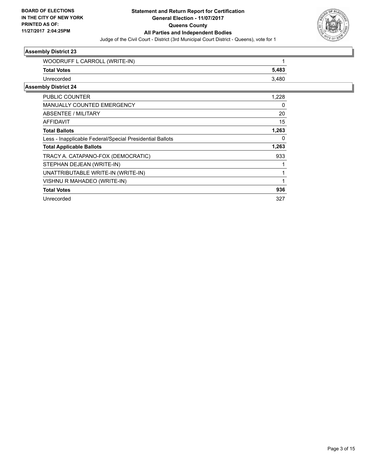

| 5,483 |
|-------|
| 3,480 |
|       |
| 1,228 |
| 0     |
| 20    |
| 15    |
| 1,263 |
| 0     |
| 1,263 |
| 933   |
| 1     |
| 1     |
| 1     |
| 936   |
| 327   |
|       |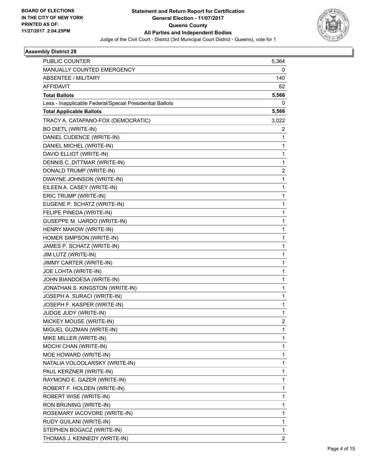

| <b>PUBLIC COUNTER</b>                                    | 5,364                   |
|----------------------------------------------------------|-------------------------|
| MANUALLY COUNTED EMERGENCY                               | 0                       |
| <b>ABSENTEE / MILITARY</b>                               | 140                     |
| <b>AFFIDAVIT</b>                                         | 62                      |
| <b>Total Ballots</b>                                     | 5,566                   |
| Less - Inapplicable Federal/Special Presidential Ballots | 0                       |
| <b>Total Applicable Ballots</b>                          | 5,566                   |
| TRACY A. CATAPANO-FOX (DEMOCRATIC)                       | 3,022                   |
| <b>BO DIETL (WRITE-IN)</b>                               | 2                       |
| DANIEL CUDENCE (WRITE-IN)                                | 1                       |
| DANIEL MICHEL (WRITE-IN)                                 | 1                       |
| DAVID ELLIOT (WRITE-IN)                                  | 1                       |
| DENNIS C. DITTMAR (WRITE-IN)                             | 1                       |
| DONALD TRUMP (WRITE-IN)                                  | $\overline{\mathbf{c}}$ |
| DWAYNE JOHNSON (WRITE-IN)                                | 1                       |
| EILEEN A. CASEY (WRITE-IN)                               | 1                       |
| ERIC TRUMP (WRITE-IN)                                    | 1                       |
| EUGENE P. SCHATZ (WRITE-IN)                              | 1                       |
| FELIPE PINEDA (WRITE-IN)                                 | 1                       |
| GUSEPPE M. IJARDO (WRITE-IN)                             | 1                       |
| HENRY MAKOW (WRITE-IN)                                   | 1                       |
| HOMER SIMPSON (WRITE-IN)                                 | 1                       |
| JAMES P. SCHATZ (WRITE-IN)                               | 1                       |
| JIM LUTZ (WRITE-IN)                                      | 1                       |
| JIMMY CARTER (WRITE-IN)                                  | 1                       |
| JOE LOHTA (WRITE-IN)                                     | 1                       |
| JOHN BIANDOESA (WRITE-IN)                                | 1                       |
| JONATHAN S. KINGSTON (WRITE-IN)                          | 1                       |
| JOSEPH A. SURACI (WRITE-IN)                              | 1                       |
| JOSEPH F. KASPER (WRITE-IN)                              | 1                       |
| JUDGE JUDY (WRITE-IN)                                    | 1                       |
| MICKEY MOUSE (WRITE-IN)                                  | $\overline{2}$          |
| MIGUEL GUZMAN (WRITE-IN)                                 | 1                       |
| MIKE MILLER (WRITE-IN)                                   | 1                       |
| MOCHI CHAN (WRITE-IN)                                    | 1                       |
| MOE HOWARD (WRITE-IN)                                    | 1                       |
| NATALIA VOLOOLARSKY (WRITE-IN)                           | 1                       |
| PAUL KERZNER (WRITE-IN)                                  | 1                       |
| RAYMOND E. GAZER (WRITE-IN)                              | 1                       |
| ROBERT F. HOLDEN (WRITE-IN)                              | 1                       |
| ROBERT WISE (WRITE-IN)                                   | 1                       |
| RON BRUNING (WRITE-IN)                                   | 1                       |
| ROSEMARY IACOVORE (WRITE-IN)                             | 1                       |
| RUDY GUILANI (WRITE-IN)                                  | 1                       |
| STEPHEN BOGACZ (WRITE-IN)                                | 1                       |
| THOMAS J. KENNEDY (WRITE-IN)                             | 2                       |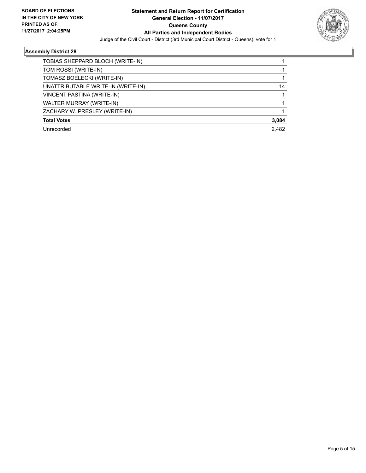

٠

| TOBIAS SHEPPARD BLOCH (WRITE-IN)   |       |
|------------------------------------|-------|
| TOM ROSSI (WRITE-IN)               |       |
| TOMASZ BOELECKI (WRITE-IN)         |       |
| UNATTRIBUTABLE WRITE-IN (WRITE-IN) | 14    |
| VINCENT PASTINA (WRITE-IN)         |       |
| WALTER MURRAY (WRITE-IN)           |       |
| ZACHARY W. PRESLEY (WRITE-IN)      |       |
| <b>Total Votes</b>                 | 3,084 |
| Unrecorded                         | 2.482 |
|                                    |       |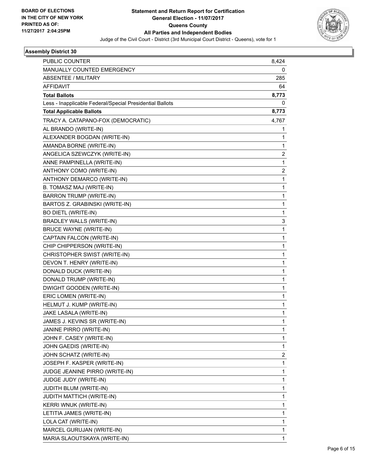

| <b>PUBLIC COUNTER</b>                                    | 8,424          |
|----------------------------------------------------------|----------------|
| MANUALLY COUNTED EMERGENCY                               | 0              |
| ABSENTEE / MILITARY                                      | 285            |
| <b>AFFIDAVIT</b>                                         | 64             |
| <b>Total Ballots</b>                                     | 8,773          |
| Less - Inapplicable Federal/Special Presidential Ballots | 0              |
| <b>Total Applicable Ballots</b>                          | 8,773          |
| TRACY A. CATAPANO-FOX (DEMOCRATIC)                       | 4,767          |
| AL BRANDO (WRITE-IN)                                     | 1              |
| ALEXANDER BOGDAN (WRITE-IN)                              | 1              |
| AMANDA BORNE (WRITE-IN)                                  | 1              |
| ANGELICA SZEWCZYK (WRITE-IN)                             | 2              |
| ANNE PAMPINELLA (WRITE-IN)                               | 1              |
| ANTHONY COMO (WRITE-IN)                                  | $\overline{2}$ |
| ANTHONY DEMARCO (WRITE-IN)                               | 1              |
| B. TOMASZ MAJ (WRITE-IN)                                 | 1              |
| <b>BARRON TRUMP (WRITE-IN)</b>                           | 1              |
| BARTOS Z. GRABINSKI (WRITE-IN)                           | 1              |
| <b>BO DIETL (WRITE-IN)</b>                               | 1              |
| BRADLEY WALLS (WRITE-IN)                                 | 3              |
| <b>BRUCE WAYNE (WRITE-IN)</b>                            | 1              |
| CAPTAIN FALCON (WRITE-IN)                                | 1              |
| CHIP CHIPPERSON (WRITE-IN)                               | 1              |
| CHRISTOPHER SWIST (WRITE-IN)                             | 1              |
| DEVON T. HENRY (WRITE-IN)                                | 1              |
| DONALD DUCK (WRITE-IN)                                   | 1              |
| DONALD TRUMP (WRITE-IN)                                  | 1              |
| DWIGHT GOODEN (WRITE-IN)                                 | 1              |
| ERIC LOMEN (WRITE-IN)                                    | 1              |
| HELMUT J. KUMP (WRITE-IN)                                | 1              |
| JAKE LASALA (WRITE-IN)                                   | 1              |
| JAMES J. KEVINS SR (WRITE-IN)                            | 1              |
| JANINE PIRRO (WRITE-IN)                                  | 1              |
| JOHN F. CASEY (WRITE-IN)                                 | 1              |
| JOHN GAEDIS (WRITE-IN)                                   | 1              |
| JOHN SCHATZ (WRITE-IN)                                   | 2              |
| JOSEPH F. KASPER (WRITE-IN)                              | 1              |
| JUDGE JEANINE PIRRO (WRITE-IN)                           | 1              |
| JUDGE JUDY (WRITE-IN)                                    | 1              |
| <b>JUDITH BLUM (WRITE-IN)</b>                            | 1              |
| <b>JUDITH MATTICH (WRITE-IN)</b>                         | 1              |
| KERRI WNUK (WRITE-IN)                                    | 1              |
| LETITIA JAMES (WRITE-IN)                                 | 1              |
| LOLA CAT (WRITE-IN)                                      | 1              |
| MARCEL GURUJAN (WRITE-IN)                                | 1              |
| MARIA SLAOUTSKAYA (WRITE-IN)                             | 1              |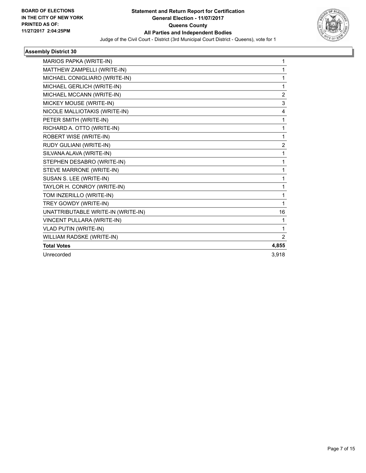

| MARIOS PAPKA (WRITE-IN)            | 1              |
|------------------------------------|----------------|
| MATTHEW ZAMPELLI (WRITE-IN)        | 1              |
| MICHAEL CONIGLIARO (WRITE-IN)      | 1              |
| MICHAEL GERLICH (WRITE-IN)         | 1              |
| MICHAEL MCCANN (WRITE-IN)          | $\overline{2}$ |
| MICKEY MOUSE (WRITE-IN)            | 3              |
| NICOLE MALLIOTAKIS (WRITE-IN)      | 4              |
| PETER SMITH (WRITE-IN)             | 1              |
| RICHARD A. OTTO (WRITE-IN)         | 1              |
| ROBERT WISE (WRITE-IN)             | 1              |
| RUDY GULIANI (WRITE-IN)            | $\overline{2}$ |
| SILVANA ALAVA (WRITE-IN)           | 1              |
| STEPHEN DESABRO (WRITE-IN)         | 1              |
| STEVE MARRONE (WRITE-IN)           | 1              |
| SUSAN S. LEE (WRITE-IN)            | 1              |
| TAYLOR H. CONROY (WRITE-IN)        | 1              |
| TOM INZERILLO (WRITE-IN)           | 1              |
| TREY GOWDY (WRITE-IN)              | 1              |
| UNATTRIBUTABLE WRITE-IN (WRITE-IN) | 16             |
| VINCENT PULLARA (WRITE-IN)         | 1              |
| <b>VLAD PUTIN (WRITE-IN)</b>       | 1              |
| WILLIAM RADSKE (WRITE-IN)          | $\overline{2}$ |
| <b>Total Votes</b>                 | 4,855          |
| Unrecorded                         | 3,918          |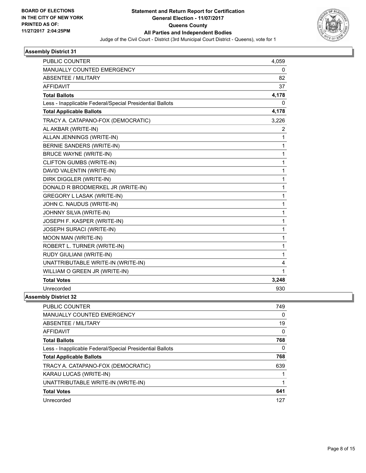

| <b>PUBLIC COUNTER</b>                                    | 4,059          |
|----------------------------------------------------------|----------------|
| <b>MANUALLY COUNTED EMERGENCY</b>                        | 0              |
| <b>ABSENTEE / MILITARY</b>                               | 82             |
| <b>AFFIDAVIT</b>                                         | 37             |
| <b>Total Ballots</b>                                     | 4,178          |
| Less - Inapplicable Federal/Special Presidential Ballots | 0              |
| <b>Total Applicable Ballots</b>                          | 4,178          |
| TRACY A. CATAPANO-FOX (DEMOCRATIC)                       | 3,226          |
| AL AKBAR (WRITE-IN)                                      | $\overline{2}$ |
| ALLAN JENNINGS (WRITE-IN)                                | 1              |
| BERNIE SANDERS (WRITE-IN)                                | 1              |
| <b>BRUCE WAYNE (WRITE-IN)</b>                            | 1              |
| CLIFTON GUMBS (WRITE-IN)                                 | 1              |
| DAVID VALENTIN (WRITE-IN)                                | 1              |
| DIRK DIGGLER (WRITE-IN)                                  | 1              |
| DONALD R BRODMERKEL JR (WRITE-IN)                        | 1              |
| <b>GREGORY L LASAK (WRITE-IN)</b>                        | 1              |
| JOHN C. NAUDUS (WRITE-IN)                                | 1              |
| JOHNNY SILVA (WRITE-IN)                                  | 1              |
| JOSEPH F. KASPER (WRITE-IN)                              | 1              |
| JOSEPH SURACI (WRITE-IN)                                 | 1              |
| MOON MAN (WRITE-IN)                                      | 1              |
| ROBERT L. TURNER (WRITE-IN)                              | 1              |
| RUDY GIULIANI (WRITE-IN)                                 | 1              |
| UNATTRIBUTABLE WRITE-IN (WRITE-IN)                       | 4              |
| WILLIAM O GREEN JR (WRITE-IN)                            | 1              |
| <b>Total Votes</b>                                       | 3,248          |
| Unrecorded                                               | 930            |
| nhlv District 32                                         |                |

| <b>PUBLIC COUNTER</b>                                    | 749 |
|----------------------------------------------------------|-----|
| <b>MANUALLY COUNTED EMERGENCY</b>                        | 0   |
| ABSENTEE / MILITARY                                      | 19  |
| <b>AFFIDAVIT</b>                                         | 0   |
| <b>Total Ballots</b>                                     | 768 |
| Less - Inapplicable Federal/Special Presidential Ballots | 0   |
| <b>Total Applicable Ballots</b>                          | 768 |
| TRACY A. CATAPANO-FOX (DEMOCRATIC)                       | 639 |
| KARAU LUCAS (WRITE-IN)                                   |     |
| UNATTRIBUTABLE WRITE-IN (WRITE-IN)                       |     |
| <b>Total Votes</b>                                       | 641 |
| Unrecorded                                               | 127 |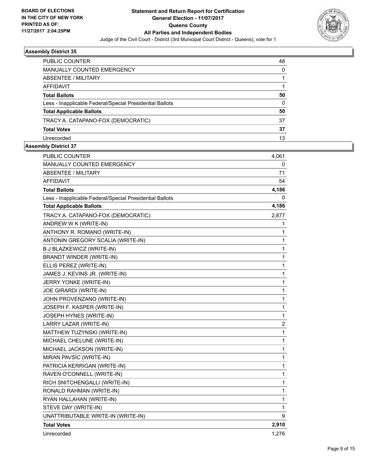

| PUBLIC COUNTER                                           | 48       |
|----------------------------------------------------------|----------|
| <b>MANUALLY COUNTED EMERGENCY</b>                        | $\Omega$ |
| ABSENTEE / MILITARY                                      |          |
| <b>AFFIDAVIT</b>                                         |          |
| <b>Total Ballots</b>                                     | 50       |
| Less - Inapplicable Federal/Special Presidential Ballots | $\Omega$ |
| <b>Total Applicable Ballots</b>                          | 50       |
| TRACY A. CATAPANO-FOX (DEMOCRATIC)                       | 37       |
| <b>Total Votes</b>                                       | 37       |
| Unrecorded                                               | 13       |

| PUBLIC COUNTER                                           | 4,061          |
|----------------------------------------------------------|----------------|
| MANUALLY COUNTED EMERGENCY                               | 0              |
| <b>ABSENTEE / MILITARY</b>                               | 71             |
| AFFIDAVIT                                                | 54             |
| <b>Total Ballots</b>                                     | 4,186          |
| Less - Inapplicable Federal/Special Presidential Ballots | 0              |
| <b>Total Applicable Ballots</b>                          | 4,186          |
| TRACY A. CATAPANO-FOX (DEMOCRATIC)                       | 2,877          |
| ANDREW W K (WRITE-IN)                                    | 1              |
| ANTHONY R. ROMANO (WRITE-IN)                             | 1              |
| ANTONIN GREGORY SCALIA (WRITE-IN)                        | 1              |
| <b>B.J BLAZKEWICZ (WRITE-IN)</b>                         | 1              |
| BRANDT WINDER (WRITE-IN)                                 | 1              |
| ELLIS PEREZ (WRITE-IN)                                   | 1              |
| JAMES J. KEVINS JR. (WRITE-IN)                           | 1              |
| JERRY YONKE (WRITE-IN)                                   | 1              |
| JOE GIRARDI (WRITE-IN)                                   | 1              |
| JOHN PROVENZANO (WRITE-IN)                               | 1              |
| JOSEPH F. KASPER (WRITE-IN)                              | 1              |
| JOSEPH HYNES (WRITE-IN)                                  | 1              |
| LARRY LAZAR (WRITE-IN)                                   | $\overline{2}$ |
| MATTHEW TUZYNSKI (WRITE-IN)                              | 1              |
| MICHAEL CHELUNE (WRITE-IN)                               | 1              |
| MICHAEL JACKSON (WRITE-IN)                               | 1              |
| MIRAN PAVSIC (WRITE-IN)                                  | 1              |
| PATRICIA KERRIGAN (WRITE-IN)                             | 1              |
| RAVEN O'CONNELL (WRITE-IN)                               | 1              |
| RICH SNITCHENGALLI (WRITE-IN)                            | 1              |
| RONALD RAHMAN (WRITE-IN)                                 | 1              |
| RYAN HALLAHAN (WRITE-IN)                                 | 1              |
| STEVE DAY (WRITE-IN)                                     | 1              |
| UNATTRIBUTABLE WRITE-IN (WRITE-IN)                       | 9              |
| <b>Total Votes</b>                                       | 2,910          |
| Unrecorded                                               | 1,276          |
|                                                          |                |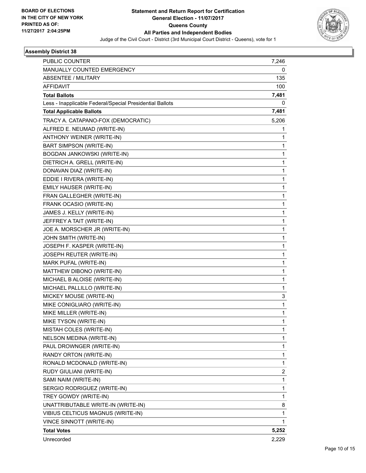

| PUBLIC COUNTER                                           | 7,246 |
|----------------------------------------------------------|-------|
| MANUALLY COUNTED EMERGENCY                               | 0     |
| ABSENTEE / MILITARY                                      | 135   |
| <b>AFFIDAVIT</b>                                         | 100   |
| <b>Total Ballots</b>                                     | 7,481 |
| Less - Inapplicable Federal/Special Presidential Ballots | 0     |
| <b>Total Applicable Ballots</b>                          | 7,481 |
| TRACY A. CATAPANO-FOX (DEMOCRATIC)                       | 5,206 |
| ALFRED E. NEUMAD (WRITE-IN)                              | 1     |
| ANTHONY WEINER (WRITE-IN)                                | 1     |
| BART SIMPSON (WRITE-IN)                                  | 1     |
| BOGDAN JANKOWSKI (WRITE-IN)                              | 1     |
| DIETRICH A. GRELL (WRITE-IN)                             | 1     |
| DONAVAN DIAZ (WRITE-IN)                                  | 1     |
| EDDIE I RIVERA (WRITE-IN)                                | 1     |
| EMILY HAUSER (WRITE-IN)                                  | 1     |
| FRAN GALLEGHER (WRITE-IN)                                | 1     |
| FRANK OCASIO (WRITE-IN)                                  | 1     |
| JAMES J. KELLY (WRITE-IN)                                | 1     |
| JEFFREY A TAIT (WRITE-IN)                                | 1     |
| JOE A. MORSCHER JR (WRITE-IN)                            | 1     |
| JOHN SMITH (WRITE-IN)                                    | 1     |
| JOSEPH F. KASPER (WRITE-IN)                              | 1     |
| JOSEPH REUTER (WRITE-IN)                                 | 1     |
| MARK PUFAL (WRITE-IN)                                    | 1     |
| MATTHEW DIBONO (WRITE-IN)                                | 1     |
| MICHAEL B ALOISE (WRITE-IN)                              | 1     |
| MICHAEL PALLILLO (WRITE-IN)                              | 1     |
| MICKEY MOUSE (WRITE-IN)                                  | 3     |
| MIKE CONIGLIARO (WRITE-IN)                               | 1     |
| MIKE MILLER (WRITE-IN)                                   | 1     |
| MIKE TYSON (WRITE-IN)                                    | 1     |
| MISTAH COLES (WRITE-IN)                                  | 1     |
| NELSON MEDINA (WRITE-IN)                                 | 1     |
| PAUL DROWNGER (WRITE-IN)                                 | 1     |
| RANDY ORTON (WRITE-IN)                                   | 1     |
| RONALD MCDONALD (WRITE-IN)                               | 1     |
| RUDY GIULIANI (WRITE-IN)                                 | 2     |
| SAMI NAIM (WRITE-IN)                                     | 1     |
| SERGIO RODRIGUEZ (WRITE-IN)                              | 1     |
| TREY GOWDY (WRITE-IN)                                    | 1     |
| UNATTRIBUTABLE WRITE-IN (WRITE-IN)                       | 8     |
| VIBIUS CELTICUS MAGNUS (WRITE-IN)                        | 1     |
| VINCE SINNOTT (WRITE-IN)                                 | 1     |
| <b>Total Votes</b>                                       | 5,252 |
| Unrecorded                                               | 2,229 |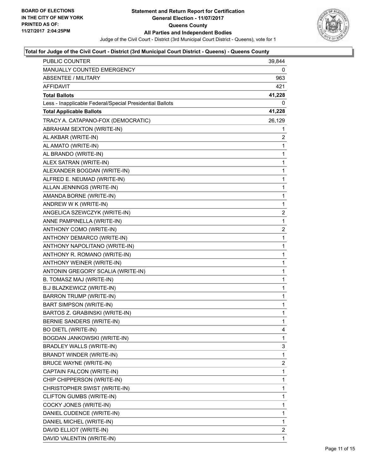

| <b>PUBLIC COUNTER</b>                                    | 39,844         |
|----------------------------------------------------------|----------------|
| <b>MANUALLY COUNTED EMERGENCY</b>                        | 0              |
| <b>ABSENTEE / MILITARY</b>                               | 963            |
| AFFIDAVIT                                                | 421            |
| Total Ballots                                            | 41,228         |
| Less - Inapplicable Federal/Special Presidential Ballots | 0              |
| <b>Total Applicable Ballots</b>                          | 41,228         |
| TRACY A. CATAPANO-FOX (DEMOCRATIC)                       | 26,129         |
| ABRAHAM SEXTON (WRITE-IN)                                | 1              |
| AL AKBAR (WRITE-IN)                                      | 2              |
| AL AMATO (WRITE-IN)                                      | 1              |
| AL BRANDO (WRITE-IN)                                     | 1              |
| ALEX SATRAN (WRITE-IN)                                   | 1              |
| ALEXANDER BOGDAN (WRITE-IN)                              | 1              |
| ALFRED E. NEUMAD (WRITE-IN)                              | 1              |
| ALLAN JENNINGS (WRITE-IN)                                | 1              |
| AMANDA BORNE (WRITE-IN)                                  | 1              |
| ANDREW W K (WRITE-IN)                                    | 1              |
| ANGELICA SZEWCZYK (WRITE-IN)                             | 2              |
| ANNE PAMPINELLA (WRITE-IN)                               | 1              |
| ANTHONY COMO (WRITE-IN)                                  | $\overline{c}$ |
| ANTHONY DEMARCO (WRITE-IN)                               | 1              |
| ANTHONY NAPOLITANO (WRITE-IN)                            | 1              |
| ANTHONY R. ROMANO (WRITE-IN)                             | 1              |
| ANTHONY WEINER (WRITE-IN)                                | 1              |
| ANTONIN GREGORY SCALIA (WRITE-IN)                        | 1              |
| B. TOMASZ MAJ (WRITE-IN)                                 | 1              |
| B.J BLAZKEWICZ (WRITE-IN)                                | 1              |
| <b>BARRON TRUMP (WRITE-IN)</b>                           | 1              |
| <b>BART SIMPSON (WRITE-IN)</b>                           | 1              |
| BARTOS Z. GRABINSKI (WRITE-IN)                           | 1              |
| BERNIE SANDERS (WRITE-IN)                                | $\mathbf{1}$   |
| <b>BO DIETL (WRITE-IN)</b>                               | 4              |
| BOGDAN JANKOWSKI (WRITE-IN)                              | 1              |
| <b>BRADLEY WALLS (WRITE-IN)</b>                          | 3              |
| BRANDT WINDER (WRITE-IN)                                 | 1              |
| <b>BRUCE WAYNE (WRITE-IN)</b>                            | 2              |
| CAPTAIN FALCON (WRITE-IN)                                | 1              |
| CHIP CHIPPERSON (WRITE-IN)                               | 1              |
| CHRISTOPHER SWIST (WRITE-IN)                             | 1              |
| CLIFTON GUMBS (WRITE-IN)                                 | 1              |
| COCKY JONES (WRITE-IN)                                   | 1              |
| DANIEL CUDENCE (WRITE-IN)                                | 1              |
| DANIEL MICHEL (WRITE-IN)                                 | 1              |
| DAVID ELLIOT (WRITE-IN)                                  | 2              |
| DAVID VALENTIN (WRITE-IN)                                | 1              |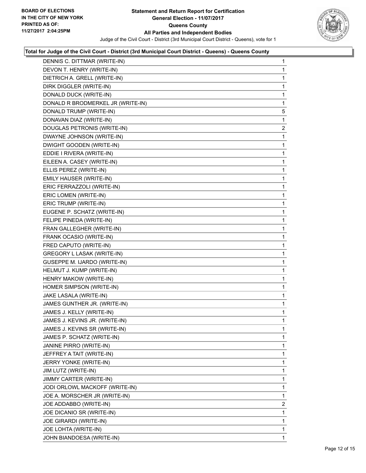

| DENNIS C. DITTMAR (WRITE-IN)        | 1              |
|-------------------------------------|----------------|
| DEVON T. HENRY (WRITE-IN)           | 1              |
| DIETRICH A. GRELL (WRITE-IN)        | 1              |
| DIRK DIGGLER (WRITE-IN)             | 1              |
| DONALD DUCK (WRITE-IN)              | 1              |
| DONALD R BRODMERKEL JR (WRITE-IN)   | 1              |
| DONALD TRUMP (WRITE-IN)             | 5              |
| DONAVAN DIAZ (WRITE-IN)             | 1              |
| DOUGLAS PETRONIS (WRITE-IN)         | $\overline{2}$ |
| DWAYNE JOHNSON (WRITE-IN)           | 1              |
| DWIGHT GOODEN (WRITE-IN)            | 1              |
| EDDIE I RIVERA (WRITE-IN)           | 1              |
| EILEEN A. CASEY (WRITE-IN)          | 1              |
| ELLIS PEREZ (WRITE-IN)              | 1              |
| EMILY HAUSER (WRITE-IN)             | 1              |
| ERIC FERRAZZOLI (WRITE-IN)          | 1              |
| ERIC LOMEN (WRITE-IN)               | 1              |
| ERIC TRUMP (WRITE-IN)               | 1              |
| EUGENE P. SCHATZ (WRITE-IN)         | 1              |
| FELIPE PINEDA (WRITE-IN)            | 1              |
| FRAN GALLEGHER (WRITE-IN)           | 1              |
| FRANK OCASIO (WRITE-IN)             | 1              |
| FRED CAPUTO (WRITE-IN)              | 1              |
| GREGORY L LASAK (WRITE-IN)          | 1              |
| <b>GUSEPPE M. IJARDO (WRITE-IN)</b> | 1              |
| HELMUT J. KUMP (WRITE-IN)           | 1              |
| HENRY MAKOW (WRITE-IN)              | 1              |
| HOMER SIMPSON (WRITE-IN)            | 1              |
| JAKE LASALA (WRITE-IN)              | 1              |
| JAMES GUNTHER JR. (WRITE-IN)        | 1              |
| JAMES J. KELLY (WRITE-IN)           | 1              |
| JAMES J. KEVINS JR. (WRITE-IN)      | 1              |
| JAMES J. KEVINS SR (WRITE-IN)       | 1              |
| JAMES P. SCHATZ (WRITE-IN)          | 1              |
| JANINE PIRRO (WRITE-IN)             | 1              |
| JEFFREY A TAIT (WRITE-IN)           | 1              |
| JERRY YONKE (WRITE-IN)              | 1              |
| JIM LUTZ (WRITE-IN)                 | 1              |
| JIMMY CARTER (WRITE-IN)             | 1              |
| JODI ORLOWL MACKOFF (WRITE-IN)      | 1              |
| JOE A. MORSCHER JR (WRITE-IN)       | 1              |
| JOE ADDABBO (WRITE-IN)              | $\overline{2}$ |
| JOE DICANIO SR (WRITE-IN)           | 1              |
| JOE GIRARDI (WRITE-IN)              | 1              |
| JOE LOHTA (WRITE-IN)                | 1              |
| JOHN BIANDOESA (WRITE-IN)           | 1              |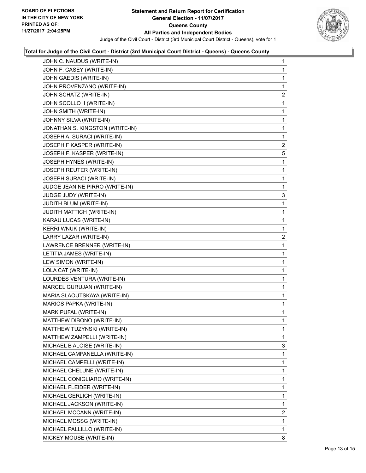

| JOHN C. NAUDUS (WRITE-IN)       | 1 |
|---------------------------------|---|
| JOHN F. CASEY (WRITE-IN)        | 1 |
| JOHN GAEDIS (WRITE-IN)          | 1 |
| JOHN PROVENZANO (WRITE-IN)      | 1 |
| JOHN SCHATZ (WRITE-IN)          | 2 |
| JOHN SCOLLO II (WRITE-IN)       | 1 |
| JOHN SMITH (WRITE-IN)           | 1 |
| JOHNNY SILVA (WRITE-IN)         | 1 |
| JONATHAN S. KINGSTON (WRITE-IN) | 1 |
| JOSEPH A. SURACI (WRITE-IN)     | 1 |
| JOSEPH F KASPER (WRITE-IN)      | 2 |
| JOSEPH F. KASPER (WRITE-IN)     | 5 |
| JOSEPH HYNES (WRITE-IN)         | 1 |
| JOSEPH REUTER (WRITE-IN)        | 1 |
| JOSEPH SURACI (WRITE-IN)        | 1 |
| JUDGE JEANINE PIRRO (WRITE-IN)  | 1 |
| JUDGE JUDY (WRITE-IN)           | 3 |
| JUDITH BLUM (WRITE-IN)          | 1 |
| JUDITH MATTICH (WRITE-IN)       | 1 |
| KARAU LUCAS (WRITE-IN)          | 1 |
| KERRI WNUK (WRITE-IN)           | 1 |
| LARRY LAZAR (WRITE-IN)          | 2 |
| LAWRENCE BRENNER (WRITE-IN)     | 1 |
| LETITIA JAMES (WRITE-IN)        | 1 |
| LEW SIMON (WRITE-IN)            | 1 |
| LOLA CAT (WRITE-IN)             | 1 |
| LOURDES VENTURA (WRITE-IN)      | 1 |
| MARCEL GURUJAN (WRITE-IN)       | 1 |
| MARIA SLAOUTSKAYA (WRITE-IN)    | 1 |
| MARIOS PAPKA (WRITE-IN)         | 1 |
| MARK PUFAL (WRITE-IN)           | 1 |
| MATTHEW DIBONO (WRITE-IN)       | 1 |
| MATTHEW TUZYNSKI (WRITE-IN)     | 1 |
| MATTHEW ZAMPELLI (WRITE-IN)     | 1 |
| MICHAEL B ALOISE (WRITE-IN)     | 3 |
| MICHAEL CAMPANELLA (WRITE-IN)   | 1 |
| MICHAEL CAMPELLI (WRITE-IN)     | 1 |
| MICHAEL CHELUNE (WRITE-IN)      | 1 |
| MICHAEL CONIGLIARO (WRITE-IN)   | 1 |
| MICHAEL FLEIDER (WRITE-IN)      | 1 |
| MICHAEL GERLICH (WRITE-IN)      | 1 |
| MICHAEL JACKSON (WRITE-IN)      | 1 |
| MICHAEL MCCANN (WRITE-IN)       | 2 |
| MICHAEL MOSSG (WRITE-IN)        | 1 |
| MICHAEL PALLILLO (WRITE-IN)     | 1 |
| MICKEY MOUSE (WRITE-IN)         | 8 |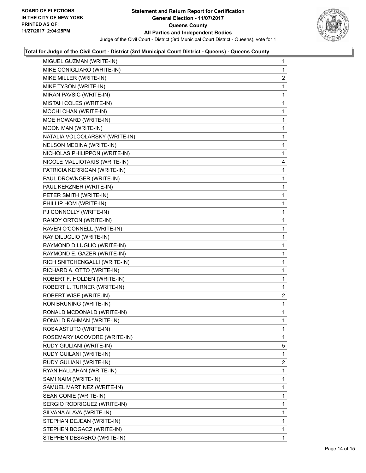

| MIGUEL GUZMAN (WRITE-IN)       | 1 |
|--------------------------------|---|
| MIKE CONIGLIARO (WRITE-IN)     | 1 |
| MIKE MILLER (WRITE-IN)         | 2 |
| MIKE TYSON (WRITE-IN)          | 1 |
| MIRAN PAVSIC (WRITE-IN)        | 1 |
| MISTAH COLES (WRITE-IN)        | 1 |
| MOCHI CHAN (WRITE-IN)          | 1 |
| MOE HOWARD (WRITE-IN)          | 1 |
| MOON MAN (WRITE-IN)            | 1 |
| NATALIA VOLOOLARSKY (WRITE-IN) | 1 |
| NELSON MEDINA (WRITE-IN)       | 1 |
| NICHOLAS PHILIPPON (WRITE-IN)  | 1 |
| NICOLE MALLIOTAKIS (WRITE-IN)  | 4 |
| PATRICIA KERRIGAN (WRITE-IN)   | 1 |
| PAUL DROWNGER (WRITE-IN)       | 1 |
| PAUL KERZNER (WRITE-IN)        | 1 |
| PETER SMITH (WRITE-IN)         | 1 |
| PHILLIP HOM (WRITE-IN)         | 1 |
| PJ CONNOLLY (WRITE-IN)         | 1 |
| RANDY ORTON (WRITE-IN)         | 1 |
| RAVEN O'CONNELL (WRITE-IN)     | 1 |
| RAY DILUGLIO (WRITE-IN)        | 1 |
| RAYMOND DILUGLIO (WRITE-IN)    | 1 |
| RAYMOND E. GAZER (WRITE-IN)    | 1 |
| RICH SNITCHENGALLI (WRITE-IN)  | 1 |
| RICHARD A. OTTO (WRITE-IN)     | 1 |
| ROBERT F. HOLDEN (WRITE-IN)    | 1 |
| ROBERT L. TURNER (WRITE-IN)    | 1 |
| ROBERT WISE (WRITE-IN)         | 2 |
| RON BRUNING (WRITE-IN)         | 1 |
| RONALD MCDONALD (WRITE-IN)     | 1 |
| RONALD RAHMAN (WRITE-IN)       | 1 |
| ROSA ASTUTO (WRITE-IN)         | 1 |
| ROSEMARY IACOVORE (WRITE-IN)   | 1 |
| RUDY GIULIANI (WRITE-IN)       | 5 |
| RUDY GUILANI (WRITE-IN)        | 1 |
| RUDY GULIANI (WRITE-IN)        | 2 |
| RYAN HALLAHAN (WRITE-IN)       | 1 |
| SAMI NAIM (WRITE-IN)           | 1 |
| SAMUEL MARTINEZ (WRITE-IN)     | 1 |
| SEAN CONIE (WRITE-IN)          | 1 |
| SERGIO RODRIGUEZ (WRITE-IN)    | 1 |
| SILVANA ALAVA (WRITE-IN)       | 1 |
| STEPHAN DEJEAN (WRITE-IN)      | 1 |
| STEPHEN BOGACZ (WRITE-IN)      | 1 |
| STEPHEN DESABRO (WRITE-IN)     | 1 |